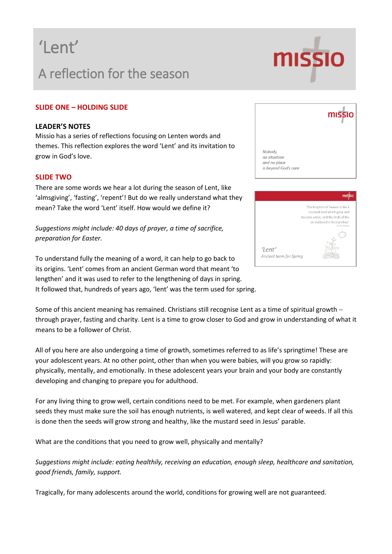# 'Lent' A reflection for the season

# **SLIDE ONE – HOLDING SLIDE**

# **LEADER'S NOTES**

Missio has a series of reflections focusing on Lenten words and themes. This reflection explores the word 'Lent' and its invitation to grow in God's love.

### **SLIDE TWO**

There are some words we hear a lot during the season of Lent, like 'almsgiving', 'fasting', 'repent'! But do we really understand what they mean? Take the word 'Lent' itself. How would we define it?

*Suggestions might include: 40 days of prayer, a time of sacrifice, preparation for Easter.*

To understand fully the meaning of a word, it can help to go back to its origins. 'Lent' comes from an ancient German word that meant 'to lengthen' and it was used to refer to the lengthening of days in spring. It followed that, hundreds of years ago, 'lent' was the term used for spring.

Some of this ancient meaning has remained. Christians still recognise Lent as a time of spiritual growth – through prayer, fasting and charity. Lent is a time to grow closer to God and grow in understanding of what it means to be a follower of Christ.

All of you here are also undergoing a time of growth, sometimes referred to as life's springtime! These are your adolescent years. At no other point, other than when you were babies, will you grow so rapidly: physically, mentally, and emotionally. In these adolescent years your brain and your body are constantly developing and changing to prepare you for adulthood.

For any living thing to grow well, certain conditions need to be met. For example, when gardeners plant seeds they must make sure the soil has enough nutrients, is well watered, and kept clear of weeds. If all this is done then the seeds will grow strong and healthy, like the mustard seed in Jesus' parable.

What are the conditions that you need to grow well, physically and mentally?

*Suggestions might include: eating healthily, receiving an education, enough sleep, healthcare and sanitation, good friends, family, support.*

Tragically, for many adolescents around the world, conditions for growing well are not guaranteed.



#### miss

The kingdom of heaven is like a mustard seed which grew and became a tree, and the birds of the air sheltered in its branches.

'Lent' Ancient term for Spring